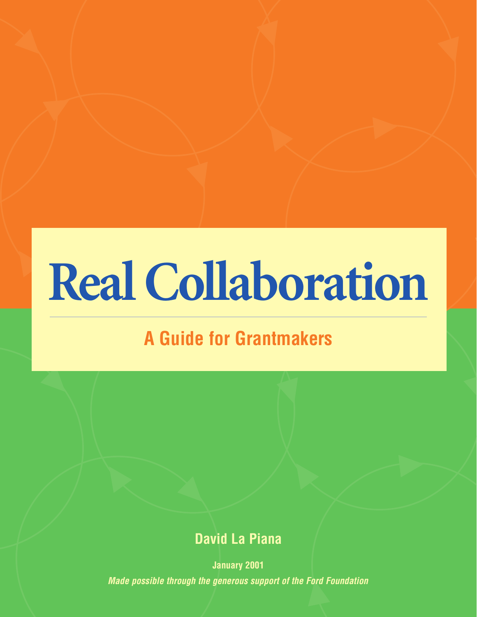# **Real Collaboration**

# **A Guide for Grantmakers**

# **David La Piana**

**January 2001** *Made possible through the generous support of the Ford Foundation*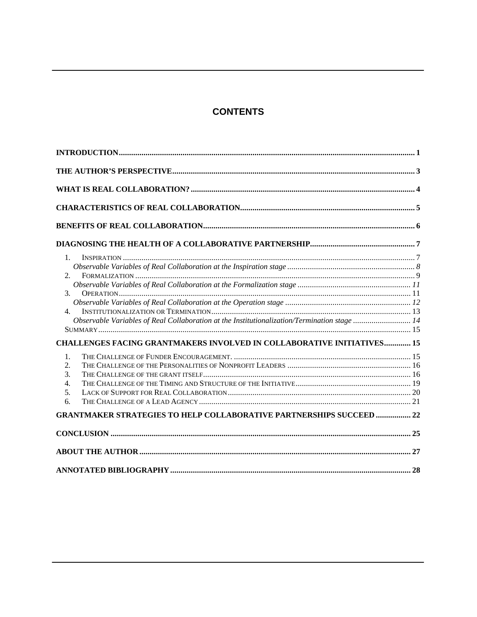# **CONTENTS**

| $\mathbf{1}$ .                                                                              |  |
|---------------------------------------------------------------------------------------------|--|
|                                                                                             |  |
| 2.                                                                                          |  |
|                                                                                             |  |
| 3 <sub>1</sub>                                                                              |  |
|                                                                                             |  |
| 4.                                                                                          |  |
| Observable Variables of Real Collaboration at the Institutionalization/Termination stage 14 |  |
|                                                                                             |  |
| <b>CHALLENGES FACING GRANTMAKERS INVOLVED IN COLLABORATIVE INITIATIVES 15</b>               |  |
| 1.                                                                                          |  |
| 2.                                                                                          |  |
| 3.                                                                                          |  |
| 4.                                                                                          |  |
| 5.                                                                                          |  |
| 6.                                                                                          |  |
| <b>GRANTMAKER STRATEGIES TO HELP COLLABORATIVE PARTNERSHIPS SUCCEED  22</b>                 |  |
|                                                                                             |  |
|                                                                                             |  |
|                                                                                             |  |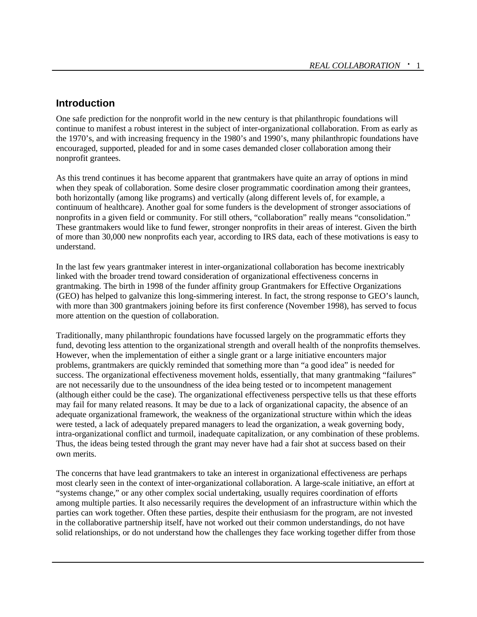#### **Introduction**

One safe prediction for the nonprofit world in the new century is that philanthropic foundations will continue to manifest a robust interest in the subject of inter-organizational collaboration. From as early as the 1970's, and with increasing frequency in the 1980's and 1990's, many philanthropic foundations have encouraged, supported, pleaded for and in some cases demanded closer collaboration among their nonprofit grantees.

As this trend continues it has become apparent that grantmakers have quite an array of options in mind when they speak of collaboration. Some desire closer programmatic coordination among their grantees, both horizontally (among like programs) and vertically (along different levels of, for example, a continuum of healthcare). Another goal for some funders is the development of stronger associations of nonprofits in a given field or community. For still others, "collaboration" really means "consolidation." These grantmakers would like to fund fewer, stronger nonprofits in their areas of interest. Given the birth of more than 30,000 new nonprofits each year, according to IRS data, each of these motivations is easy to understand.

In the last few years grantmaker interest in inter-organizational collaboration has become inextricably linked with the broader trend toward consideration of organizational effectiveness concerns in grantmaking. The birth in 1998 of the funder affinity group Grantmakers for Effective Organizations (GEO) has helped to galvanize this long-simmering interest. In fact, the strong response to GEO's launch, with more than 300 grantmakers joining before its first conference (November 1998), has served to focus more attention on the question of collaboration.

Traditionally, many philanthropic foundations have focussed largely on the programmatic efforts they fund, devoting less attention to the organizational strength and overall health of the nonprofits themselves. However, when the implementation of either a single grant or a large initiative encounters major problems, grantmakers are quickly reminded that something more than "a good idea" is needed for success. The organizational effectiveness movement holds, essentially, that many grantmaking "failures" are not necessarily due to the unsoundness of the idea being tested or to incompetent management (although either could be the case). The organizational effectiveness perspective tells us that these efforts may fail for many related reasons. It may be due to a lack of organizational capacity, the absence of an adequate organizational framework, the weakness of the organizational structure within which the ideas were tested, a lack of adequately prepared managers to lead the organization, a weak governing body, intra-organizational conflict and turmoil, inadequate capitalization, or any combination of these problems. Thus, the ideas being tested through the grant may never have had a fair shot at success based on their own merits.

The concerns that have lead grantmakers to take an interest in organizational effectiveness are perhaps most clearly seen in the context of inter-organizational collaboration. A large-scale initiative, an effort at "systems change," or any other complex social undertaking, usually requires coordination of efforts among multiple parties. It also necessarily requires the development of an infrastructure within which the parties can work together. Often these parties, despite their enthusiasm for the program, are not invested in the collaborative partnership itself, have not worked out their common understandings, do not have solid relationships, or do not understand how the challenges they face working together differ from those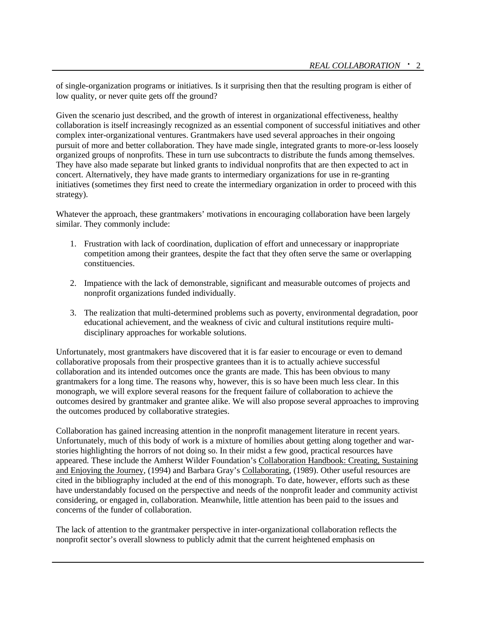of single-organization programs or initiatives. Is it surprising then that the resulting program is either of low quality, or never quite gets off the ground?

Given the scenario just described, and the growth of interest in organizational effectiveness, healthy collaboration is itself increasingly recognized as an essential component of successful initiatives and other complex inter-organizational ventures. Grantmakers have used several approaches in their ongoing pursuit of more and better collaboration. They have made single, integrated grants to more-or-less loosely organized groups of nonprofits. These in turn use subcontracts to distribute the funds among themselves. They have also made separate but linked grants to individual nonprofits that are then expected to act in concert. Alternatively, they have made grants to intermediary organizations for use in re-granting initiatives (sometimes they first need to create the intermediary organization in order to proceed with this strategy).

Whatever the approach, these grantmakers' motivations in encouraging collaboration have been largely similar. They commonly include:

- 1. Frustration with lack of coordination, duplication of effort and unnecessary or inappropriate competition among their grantees, despite the fact that they often serve the same or overlapping constituencies.
- 2. Impatience with the lack of demonstrable, significant and measurable outcomes of projects and nonprofit organizations funded individually.
- 3. The realization that multi-determined problems such as poverty, environmental degradation, poor educational achievement, and the weakness of civic and cultural institutions require multidisciplinary approaches for workable solutions.

Unfortunately, most grantmakers have discovered that it is far easier to encourage or even to demand collaborative proposals from their prospective grantees than it is to actually achieve successful collaboration and its intended outcomes once the grants are made. This has been obvious to many grantmakers for a long time. The reasons why, however, this is so have been much less clear. In this monograph, we will explore several reasons for the frequent failure of collaboration to achieve the outcomes desired by grantmaker and grantee alike. We will also propose several approaches to improving the outcomes produced by collaborative strategies.

Collaboration has gained increasing attention in the nonprofit management literature in recent years. Unfortunately, much of this body of work is a mixture of homilies about getting along together and warstories highlighting the horrors of not doing so. In their midst a few good, practical resources have appeared. These include the Amherst Wilder Foundation's Collaboration Handbook: Creating, Sustaining and Enjoying the Journey, (1994) and Barbara Gray's Collaborating, (1989). Other useful resources are cited in the bibliography included at the end of this monograph. To date, however, efforts such as these have understandably focused on the perspective and needs of the nonprofit leader and community activist considering, or engaged in, collaboration. Meanwhile, little attention has been paid to the issues and concerns of the funder of collaboration.

The lack of attention to the grantmaker perspective in inter-organizational collaboration reflects the nonprofit sector's overall slowness to publicly admit that the current heightened emphasis on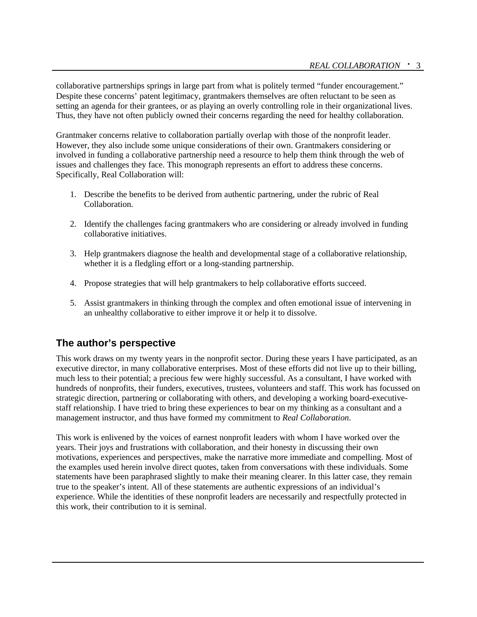collaborative partnerships springs in large part from what is politely termed "funder encouragement." Despite these concerns' patent legitimacy, grantmakers themselves are often reluctant to be seen as setting an agenda for their grantees, or as playing an overly controlling role in their organizational lives. Thus, they have not often publicly owned their concerns regarding the need for healthy collaboration.

Grantmaker concerns relative to collaboration partially overlap with those of the nonprofit leader. However, they also include some unique considerations of their own. Grantmakers considering or involved in funding a collaborative partnership need a resource to help them think through the web of issues and challenges they face. This monograph represents an effort to address these concerns. Specifically, Real Collaboration will:

- 1. Describe the benefits to be derived from authentic partnering, under the rubric of Real Collaboration.
- 2. Identify the challenges facing grantmakers who are considering or already involved in funding collaborative initiatives.
- 3. Help grantmakers diagnose the health and developmental stage of a collaborative relationship, whether it is a fledgling effort or a long-standing partnership.
- 4. Propose strategies that will help grantmakers to help collaborative efforts succeed.
- 5. Assist grantmakers in thinking through the complex and often emotional issue of intervening in an unhealthy collaborative to either improve it or help it to dissolve.

# **The author's perspective**

This work draws on my twenty years in the nonprofit sector. During these years I have participated, as an executive director, in many collaborative enterprises. Most of these efforts did not live up to their billing, much less to their potential; a precious few were highly successful. As a consultant, I have worked with hundreds of nonprofits, their funders, executives, trustees, volunteers and staff. This work has focussed on strategic direction, partnering or collaborating with others, and developing a working board-executivestaff relationship. I have tried to bring these experiences to bear on my thinking as a consultant and a management instructor, and thus have formed my commitment to *Real Collaboration*.

This work is enlivened by the voices of earnest nonprofit leaders with whom I have worked over the years. Their joys and frustrations with collaboration, and their honesty in discussing their own motivations, experiences and perspectives, make the narrative more immediate and compelling. Most of the examples used herein involve direct quotes, taken from conversations with these individuals. Some statements have been paraphrased slightly to make their meaning clearer. In this latter case, they remain true to the speaker's intent. All of these statements are authentic expressions of an individual's experience. While the identities of these nonprofit leaders are necessarily and respectfully protected in this work, their contribution to it is seminal.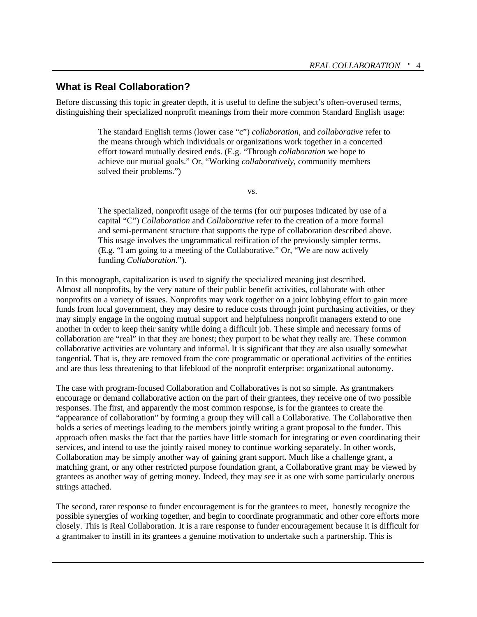### **What is Real Collaboration?**

Before discussing this topic in greater depth, it is useful to define the subject's often-overused terms, distinguishing their specialized nonprofit meanings from their more common Standard English usage:

> The standard English terms (lower case "c") *collaboration*, and *collaborative* refer to the means through which individuals or organizations work together in a concerted effort toward mutually desired ends. (E.g. "Through *collaboration* we hope to achieve our mutual goals." Or, "Working *collaboratively*, community members solved their problems.")

> > vs.

The specialized, nonprofit usage of the terms (for our purposes indicated by use of a capital "C") *Collaboration* and *Collaborative* refer to the creation of a more formal and semi-permanent structure that supports the type of collaboration described above. This usage involves the ungrammatical reification of the previously simpler terms. (E.g. "I am going to a meeting of the Collaborative." Or, "We are now actively funding *Collaboration*.").

In this monograph, capitalization is used to signify the specialized meaning just described. Almost all nonprofits, by the very nature of their public benefit activities, collaborate with other nonprofits on a variety of issues. Nonprofits may work together on a joint lobbying effort to gain more funds from local government, they may desire to reduce costs through joint purchasing activities, or they may simply engage in the ongoing mutual support and helpfulness nonprofit managers extend to one another in order to keep their sanity while doing a difficult job. These simple and necessary forms of collaboration are "real" in that they are honest; they purport to be what they really are. These common collaborative activities are voluntary and informal. It is significant that they are also usually somewhat tangential. That is, they are removed from the core programmatic or operational activities of the entities and are thus less threatening to that lifeblood of the nonprofit enterprise: organizational autonomy.

The case with program-focused Collaboration and Collaboratives is not so simple. As grantmakers encourage or demand collaborative action on the part of their grantees, they receive one of two possible responses. The first, and apparently the most common response, is for the grantees to create the "appearance of collaboration" by forming a group they will call a Collaborative. The Collaborative then holds a series of meetings leading to the members jointly writing a grant proposal to the funder. This approach often masks the fact that the parties have little stomach for integrating or even coordinating their services, and intend to use the jointly raised money to continue working separately. In other words, Collaboration may be simply another way of gaining grant support. Much like a challenge grant, a matching grant, or any other restricted purpose foundation grant, a Collaborative grant may be viewed by grantees as another way of getting money. Indeed, they may see it as one with some particularly onerous strings attached.

The second, rarer response to funder encouragement is for the grantees to meet, honestly recognize the possible synergies of working together, and begin to coordinate programmatic and other core efforts more closely. This is Real Collaboration. It is a rare response to funder encouragement because it is difficult for a grantmaker to instill in its grantees a genuine motivation to undertake such a partnership. This is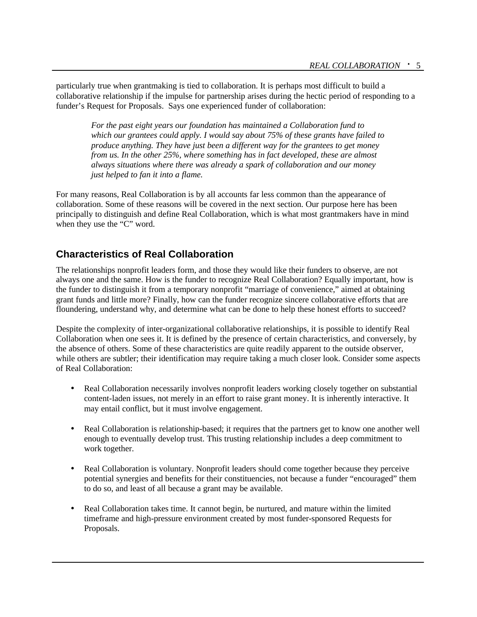particularly true when grantmaking is tied to collaboration. It is perhaps most difficult to build a collaborative relationship if the impulse for partnership arises during the hectic period of responding to a funder's Request for Proposals. Says one experienced funder of collaboration:

*For the past eight years our foundation has maintained a Collaboration fund to which our grantees could apply. I would say about 75% of these grants have failed to produce anything. They have just been a different way for the grantees to get money from us. In the other 25%, where something has in fact developed, these are almost always situations where there was already a spark of collaboration and our money just helped to fan it into a flame.*

For many reasons, Real Collaboration is by all accounts far less common than the appearance of collaboration. Some of these reasons will be covered in the next section. Our purpose here has been principally to distinguish and define Real Collaboration, which is what most grantmakers have in mind when they use the "C" word.

# **Characteristics of Real Collaboration**

The relationships nonprofit leaders form, and those they would like their funders to observe, are not always one and the same. How is the funder to recognize Real Collaboration? Equally important, how is the funder to distinguish it from a temporary nonprofit "marriage of convenience," aimed at obtaining grant funds and little more? Finally, how can the funder recognize sincere collaborative efforts that are floundering, understand why, and determine what can be done to help these honest efforts to succeed?

Despite the complexity of inter-organizational collaborative relationships, it is possible to identify Real Collaboration when one sees it. It is defined by the presence of certain characteristics, and conversely, by the absence of others. Some of these characteristics are quite readily apparent to the outside observer, while others are subtler; their identification may require taking a much closer look. Consider some aspects of Real Collaboration:

- Real Collaboration necessarily involves nonprofit leaders working closely together on substantial content-laden issues, not merely in an effort to raise grant money. It is inherently interactive. It may entail conflict, but it must involve engagement.
- Real Collaboration is relationship-based; it requires that the partners get to know one another well enough to eventually develop trust. This trusting relationship includes a deep commitment to work together.
- Real Collaboration is voluntary. Nonprofit leaders should come together because they perceive potential synergies and benefits for their constituencies, not because a funder "encouraged" them to do so, and least of all because a grant may be available.
- Real Collaboration takes time. It cannot begin, be nurtured, and mature within the limited timeframe and high-pressure environment created by most funder-sponsored Requests for Proposals.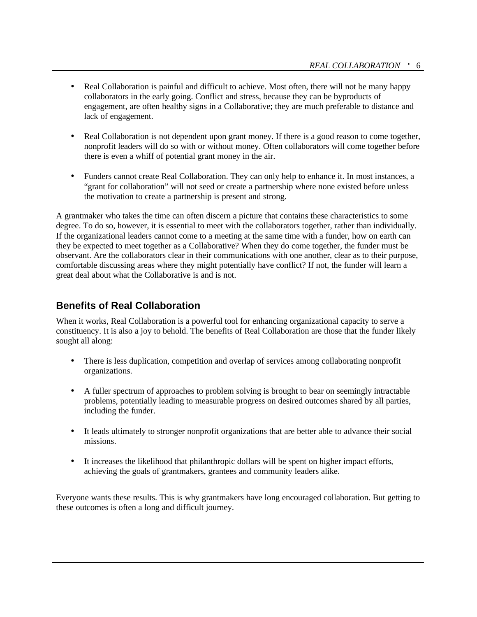- Real Collaboration is painful and difficult to achieve. Most often, there will not be many happy collaborators in the early going. Conflict and stress, because they can be byproducts of engagement, are often healthy signs in a Collaborative; they are much preferable to distance and lack of engagement.
- Real Collaboration is not dependent upon grant money. If there is a good reason to come together, nonprofit leaders will do so with or without money. Often collaborators will come together before there is even a whiff of potential grant money in the air.
- Funders cannot create Real Collaboration. They can only help to enhance it. In most instances, a "grant for collaboration" will not seed or create a partnership where none existed before unless the motivation to create a partnership is present and strong.

A grantmaker who takes the time can often discern a picture that contains these characteristics to some degree. To do so, however, it is essential to meet with the collaborators together, rather than individually. If the organizational leaders cannot come to a meeting at the same time with a funder, how on earth can they be expected to meet together as a Collaborative? When they do come together, the funder must be observant. Are the collaborators clear in their communications with one another, clear as to their purpose, comfortable discussing areas where they might potentially have conflict? If not, the funder will learn a great deal about what the Collaborative is and is not.

# **Benefits of Real Collaboration**

When it works, Real Collaboration is a powerful tool for enhancing organizational capacity to serve a constituency. It is also a joy to behold. The benefits of Real Collaboration are those that the funder likely sought all along:

- There is less duplication, competition and overlap of services among collaborating nonprofit organizations.
- A fuller spectrum of approaches to problem solving is brought to bear on seemingly intractable problems, potentially leading to measurable progress on desired outcomes shared by all parties, including the funder.
- It leads ultimately to stronger nonprofit organizations that are better able to advance their social missions.
- It increases the likelihood that philanthropic dollars will be spent on higher impact efforts, achieving the goals of grantmakers, grantees and community leaders alike.

Everyone wants these results. This is why grantmakers have long encouraged collaboration. But getting to these outcomes is often a long and difficult journey.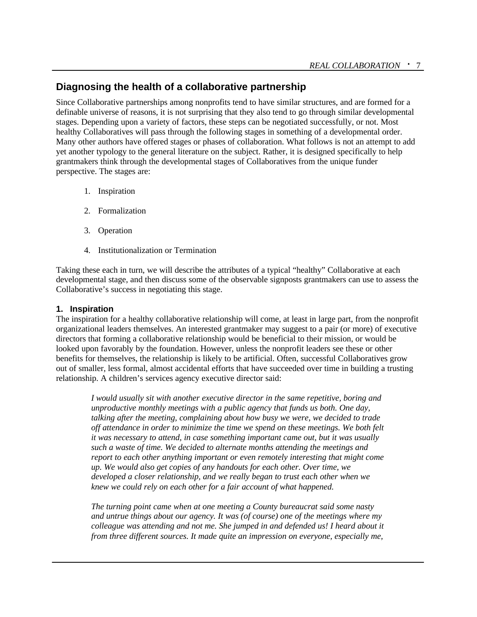# **Diagnosing the health of a collaborative partnership**

Since Collaborative partnerships among nonprofits tend to have similar structures, and are formed for a definable universe of reasons, it is not surprising that they also tend to go through similar developmental stages. Depending upon a variety of factors, these steps can be negotiated successfully, or not. Most healthy Collaboratives will pass through the following stages in something of a developmental order. Many other authors have offered stages or phases of collaboration. What follows is not an attempt to add yet another typology to the general literature on the subject. Rather, it is designed specifically to help grantmakers think through the developmental stages of Collaboratives from the unique funder perspective. The stages are:

- 1. Inspiration
- 2. Formalization
- 3. Operation
- 4. Institutionalization or Termination

Taking these each in turn, we will describe the attributes of a typical "healthy" Collaborative at each developmental stage, and then discuss some of the observable signposts grantmakers can use to assess the Collaborative's success in negotiating this stage.

#### **1. Inspiration**

The inspiration for a healthy collaborative relationship will come, at least in large part, from the nonprofit organizational leaders themselves. An interested grantmaker may suggest to a pair (or more) of executive directors that forming a collaborative relationship would be beneficial to their mission, or would be looked upon favorably by the foundation. However, unless the nonprofit leaders see these or other benefits for themselves, the relationship is likely to be artificial. Often, successful Collaboratives grow out of smaller, less formal, almost accidental efforts that have succeeded over time in building a trusting relationship. A children's services agency executive director said:

*I would usually sit with another executive director in the same repetitive, boring and unproductive monthly meetings with a public agency that funds us both. One day, talking after the meeting, complaining about how busy we were, we decided to trade off attendance in order to minimize the time we spend on these meetings. We both felt it was necessary to attend, in case something important came out, but it was usually such a waste of time. We decided to alternate months attending the meetings and report to each other anything important or even remotely interesting that might come up. We would also get copies of any handouts for each other. Over time, we developed a closer relationship, and we really began to trust each other when we knew we could rely on each other for a fair account of what happened.* 

*The turning point came when at one meeting a County bureaucrat said some nasty and untrue things about our agency. It was (of course) one of the meetings where my colleague was attending and not me. She jumped in and defended us! I heard about it from three different sources. It made quite an impression on everyone, especially me,*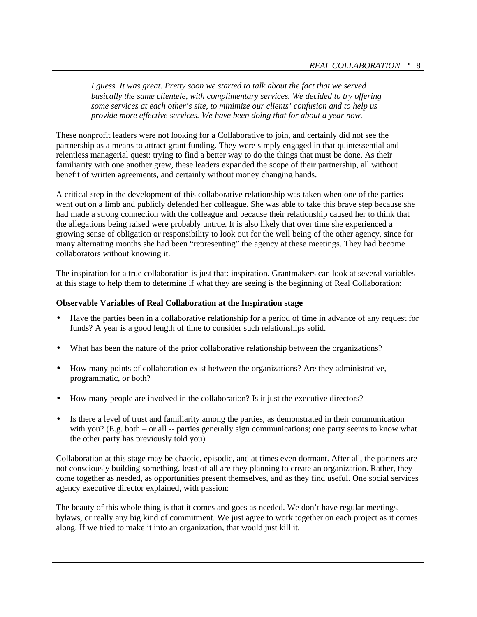*I guess. It was great. Pretty soon we started to talk about the fact that we served basically the same clientele, with complimentary services. We decided to try offering some services at each other's site, to minimize our clients' confusion and to help us provide more effective services. We have been doing that for about a year now.*

These nonprofit leaders were not looking for a Collaborative to join, and certainly did not see the partnership as a means to attract grant funding. They were simply engaged in that quintessential and relentless managerial quest: trying to find a better way to do the things that must be done. As their familiarity with one another grew, these leaders expanded the scope of their partnership, all without benefit of written agreements, and certainly without money changing hands.

A critical step in the development of this collaborative relationship was taken when one of the parties went out on a limb and publicly defended her colleague. She was able to take this brave step because she had made a strong connection with the colleague and because their relationship caused her to think that the allegations being raised were probably untrue. It is also likely that over time she experienced a growing sense of obligation or responsibility to look out for the well being of the other agency, since for many alternating months she had been "representing" the agency at these meetings. They had become collaborators without knowing it.

The inspiration for a true collaboration is just that: inspiration. Grantmakers can look at several variables at this stage to help them to determine if what they are seeing is the beginning of Real Collaboration:

#### **Observable Variables of Real Collaboration at the Inspiration stage**

- Have the parties been in a collaborative relationship for a period of time in advance of any request for funds? A year is a good length of time to consider such relationships solid.
- What has been the nature of the prior collaborative relationship between the organizations?
- How many points of collaboration exist between the organizations? Are they administrative, programmatic, or both?
- How many people are involved in the collaboration? Is it just the executive directors?
- Is there a level of trust and familiarity among the parties, as demonstrated in their communication with you? (E.g. both – or all -- parties generally sign communications; one party seems to know what the other party has previously told you).

Collaboration at this stage may be chaotic, episodic, and at times even dormant. After all, the partners are not consciously building something, least of all are they planning to create an organization. Rather, they come together as needed, as opportunities present themselves, and as they find useful. One social services agency executive director explained, with passion:

The beauty of this whole thing is that it comes and goes as needed. We don't have regular meetings, bylaws, or really any big kind of commitment. We just agree to work together on each project as it comes along. If we tried to make it into an organization, that would just kill it.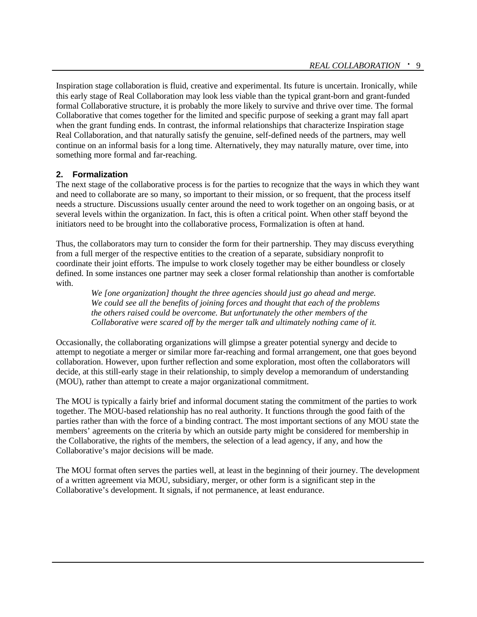Inspiration stage collaboration is fluid, creative and experimental. Its future is uncertain. Ironically, while this early stage of Real Collaboration may look less viable than the typical grant-born and grant-funded formal Collaborative structure, it is probably the more likely to survive and thrive over time. The formal Collaborative that comes together for the limited and specific purpose of seeking a grant may fall apart when the grant funding ends. In contrast, the informal relationships that characterize Inspiration stage Real Collaboration, and that naturally satisfy the genuine, self-defined needs of the partners, may well continue on an informal basis for a long time. Alternatively, they may naturally mature, over time, into something more formal and far-reaching.

#### **2. Formalization**

The next stage of the collaborative process is for the parties to recognize that the ways in which they want and need to collaborate are so many, so important to their mission, or so frequent, that the process itself needs a structure. Discussions usually center around the need to work together on an ongoing basis, or at several levels within the organization. In fact, this is often a critical point. When other staff beyond the initiators need to be brought into the collaborative process, Formalization is often at hand.

Thus, the collaborators may turn to consider the form for their partnership. They may discuss everything from a full merger of the respective entities to the creation of a separate, subsidiary nonprofit to coordinate their joint efforts. The impulse to work closely together may be either boundless or closely defined. In some instances one partner may seek a closer formal relationship than another is comfortable with.

*We [one organization] thought the three agencies should just go ahead and merge. We could see all the benefits of joining forces and thought that each of the problems the others raised could be overcome. But unfortunately the other members of the Collaborative were scared off by the merger talk and ultimately nothing came of it.*

Occasionally, the collaborating organizations will glimpse a greater potential synergy and decide to attempt to negotiate a merger or similar more far-reaching and formal arrangement, one that goes beyond collaboration. However, upon further reflection and some exploration, most often the collaborators will decide, at this still-early stage in their relationship, to simply develop a memorandum of understanding (MOU), rather than attempt to create a major organizational commitment.

The MOU is typically a fairly brief and informal document stating the commitment of the parties to work together. The MOU-based relationship has no real authority. It functions through the good faith of the parties rather than with the force of a binding contract. The most important sections of any MOU state the members' agreements on the criteria by which an outside party might be considered for membership in the Collaborative, the rights of the members, the selection of a lead agency, if any, and how the Collaborative's major decisions will be made.

The MOU format often serves the parties well, at least in the beginning of their journey. The development of a written agreement via MOU, subsidiary, merger, or other form is a significant step in the Collaborative's development. It signals, if not permanence, at least endurance.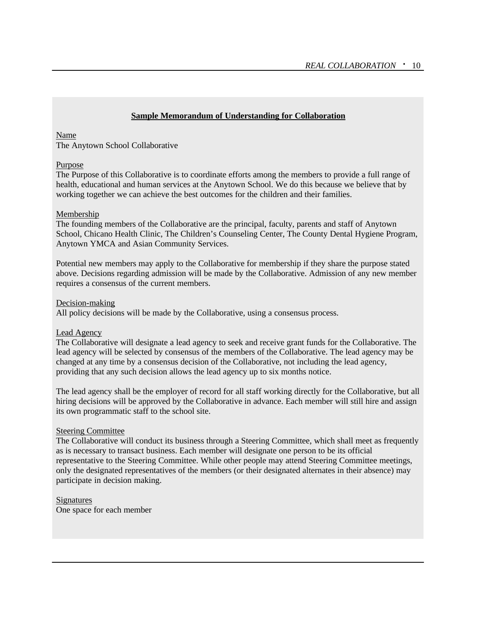#### **Sample Memorandum of Understanding for Collaboration**

#### Name

The Anytown School Collaborative

#### Purpose

The Purpose of this Collaborative is to coordinate efforts among the members to provide a full range of health, educational and human services at the Anytown School. We do this because we believe that by working together we can achieve the best outcomes for the children and their families.

#### Membership

The founding members of the Collaborative are the principal, faculty, parents and staff of Anytown School, Chicano Health Clinic, The Children's Counseling Center, The County Dental Hygiene Program, Anytown YMCA and Asian Community Services.

Potential new members may apply to the Collaborative for membership if they share the purpose stated above. Decisions regarding admission will be made by the Collaborative. Admission of any new member requires a consensus of the current members.

#### Decision-making

All policy decisions will be made by the Collaborative, using a consensus process.

#### Lead Agency

The Collaborative will designate a lead agency to seek and receive grant funds for the Collaborative. The lead agency will be selected by consensus of the members of the Collaborative. The lead agency may be changed at any time by a consensus decision of the Collaborative, not including the lead agency, providing that any such decision allows the lead agency up to six months notice.

The lead agency shall be the employer of record for all staff working directly for the Collaborative, but all hiring decisions will be approved by the Collaborative in advance. Each member will still hire and assign its own programmatic staff to the school site.

#### Steering Committee

The Collaborative will conduct its business through a Steering Committee, which shall meet as frequently as is necessary to transact business. Each member will designate one person to be its official representative to the Steering Committee. While other people may attend Steering Committee meetings, only the designated representatives of the members (or their designated alternates in their absence) may participate in decision making.

Signatures One space for each member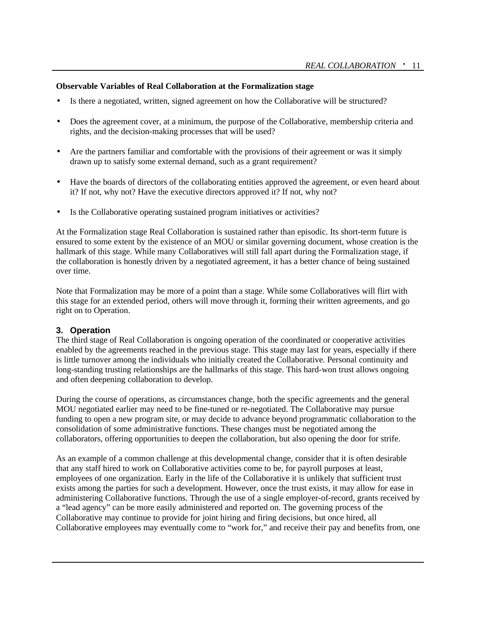#### **Observable Variables of Real Collaboration at the Formalization stage**

- Is there a negotiated, written, signed agreement on how the Collaborative will be structured?
- Does the agreement cover, at a minimum, the purpose of the Collaborative, membership criteria and rights, and the decision-making processes that will be used?
- Are the partners familiar and comfortable with the provisions of their agreement or was it simply drawn up to satisfy some external demand, such as a grant requirement?
- Have the boards of directors of the collaborating entities approved the agreement, or even heard about it? If not, why not? Have the executive directors approved it? If not, why not?
- Is the Collaborative operating sustained program initiatives or activities?

At the Formalization stage Real Collaboration is sustained rather than episodic. Its short-term future is ensured to some extent by the existence of an MOU or similar governing document, whose creation is the hallmark of this stage. While many Collaboratives will still fall apart during the Formalization stage, if the collaboration is honestly driven by a negotiated agreement, it has a better chance of being sustained over time.

Note that Formalization may be more of a point than a stage. While some Collaboratives will flirt with this stage for an extended period, others will move through it, forming their written agreements, and go right on to Operation.

#### **3. Operation**

The third stage of Real Collaboration is ongoing operation of the coordinated or cooperative activities enabled by the agreements reached in the previous stage. This stage may last for years, especially if there is little turnover among the individuals who initially created the Collaborative. Personal continuity and long-standing trusting relationships are the hallmarks of this stage. This hard-won trust allows ongoing and often deepening collaboration to develop.

During the course of operations, as circumstances change, both the specific agreements and the general MOU negotiated earlier may need to be fine-tuned or re-negotiated. The Collaborative may pursue funding to open a new program site, or may decide to advance beyond programmatic collaboration to the consolidation of some administrative functions. These changes must be negotiated among the collaborators, offering opportunities to deepen the collaboration, but also opening the door for strife.

As an example of a common challenge at this developmental change, consider that it is often desirable that any staff hired to work on Collaborative activities come to be, for payroll purposes at least, employees of one organization. Early in the life of the Collaborative it is unlikely that sufficient trust exists among the parties for such a development. However, once the trust exists, it may allow for ease in administering Collaborative functions. Through the use of a single employer-of-record, grants received by a "lead agency" can be more easily administered and reported on. The governing process of the Collaborative may continue to provide for joint hiring and firing decisions, but once hired, all Collaborative employees may eventually come to "work for," and receive their pay and benefits from, one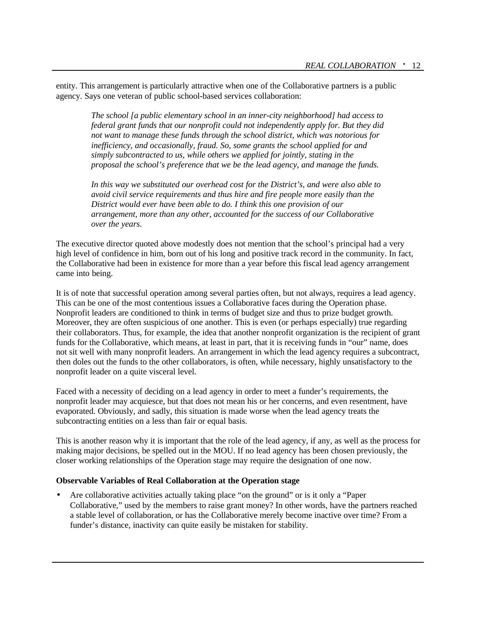entity. This arrangement is particularly attractive when one of the Collaborative partners is a public agency. Says one veteran of public school-based services collaboration:

> *The school [a public elementary school in an inner-city neighborhood] had access to federal grant funds that our nonprofit could not independently apply for. But they did not want to manage these funds through the school district, which was notorious for inefficiency, and occasionally, fraud. So, some grants the school applied for and simply subcontracted to us, while others we applied for jointly, stating in the proposal the school's preference that we be the lead agency, and manage the funds.*

*In this way we substituted our overhead cost for the District's, and were also able to avoid civil service requirements and thus hire and fire people more easily than the District would ever have been able to do. I think this one provision of our arrangement, more than any other, accounted for the success of our Collaborative over the years.*

The executive director quoted above modestly does not mention that the school's principal had a very high level of confidence in him, born out of his long and positive track record in the community. In fact, the Collaborative had been in existence for more than a year before this fiscal lead agency arrangement came into being.

It is of note that successful operation among several parties often, but not always, requires a lead agency. This can be one of the most contentious issues a Collaborative faces during the Operation phase. Nonprofit leaders are conditioned to think in terms of budget size and thus to prize budget growth. Moreover, they are often suspicious of one another. This is even (or perhaps especially) true regarding their collaborators. Thus, for example, the idea that another nonprofit organization is the recipient of grant funds for the Collaborative, which means, at least in part, that it is receiving funds in "our" name, does not sit well with many nonprofit leaders. An arrangement in which the lead agency requires a subcontract, then doles out the funds to the other collaborators, is often, while necessary, highly unsatisfactory to the nonprofit leader on a quite visceral level.

Faced with a necessity of deciding on a lead agency in order to meet a funder's requirements, the nonprofit leader may acquiesce, but that does not mean his or her concerns, and even resentment, have evaporated. Obviously, and sadly, this situation is made worse when the lead agency treats the subcontracting entities on a less than fair or equal basis.

This is another reason why it is important that the role of the lead agency, if any, as well as the process for making major decisions, be spelled out in the MOU. If no lead agency has been chosen previously, the closer working relationships of the Operation stage may require the designation of one now.

#### **Observable Variables of Real Collaboration at the Operation stage**

• Are collaborative activities actually taking place "on the ground" or is it only a "Paper Collaborative," used by the members to raise grant money? In other words, have the partners reached a stable level of collaboration, or has the Collaborative merely become inactive over time? From a funder's distance, inactivity can quite easily be mistaken for stability.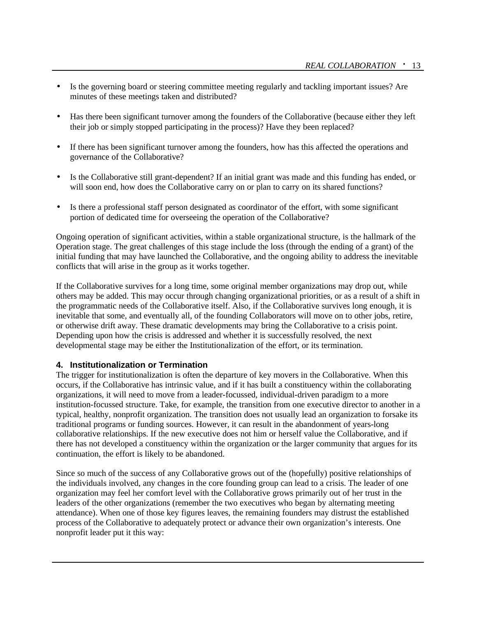- Is the governing board or steering committee meeting regularly and tackling important issues? Are minutes of these meetings taken and distributed?
- Has there been significant turnover among the founders of the Collaborative (because either they left their job or simply stopped participating in the process)? Have they been replaced?
- If there has been significant turnover among the founders, how has this affected the operations and governance of the Collaborative?
- Is the Collaborative still grant-dependent? If an initial grant was made and this funding has ended, or will soon end, how does the Collaborative carry on or plan to carry on its shared functions?
- Is there a professional staff person designated as coordinator of the effort, with some significant portion of dedicated time for overseeing the operation of the Collaborative?

Ongoing operation of significant activities, within a stable organizational structure, is the hallmark of the Operation stage. The great challenges of this stage include the loss (through the ending of a grant) of the initial funding that may have launched the Collaborative, and the ongoing ability to address the inevitable conflicts that will arise in the group as it works together.

If the Collaborative survives for a long time, some original member organizations may drop out, while others may be added. This may occur through changing organizational priorities, or as a result of a shift in the programmatic needs of the Collaborative itself. Also, if the Collaborative survives long enough, it is inevitable that some, and eventually all, of the founding Collaborators will move on to other jobs, retire, or otherwise drift away. These dramatic developments may bring the Collaborative to a crisis point. Depending upon how the crisis is addressed and whether it is successfully resolved, the next developmental stage may be either the Institutionalization of the effort, or its termination.

#### **4. Institutionalization or Termination**

The trigger for institutionalization is often the departure of key movers in the Collaborative. When this occurs, if the Collaborative has intrinsic value, and if it has built a constituency within the collaborating organizations, it will need to move from a leader-focussed, individual-driven paradigm to a more institution-focussed structure. Take, for example, the transition from one executive director to another in a typical, healthy, nonprofit organization. The transition does not usually lead an organization to forsake its traditional programs or funding sources. However, it can result in the abandonment of years-long collaborative relationships. If the new executive does not him or herself value the Collaborative, and if there has not developed a constituency within the organization or the larger community that argues for its continuation, the effort is likely to be abandoned.

Since so much of the success of any Collaborative grows out of the (hopefully) positive relationships of the individuals involved, any changes in the core founding group can lead to a crisis. The leader of one organization may feel her comfort level with the Collaborative grows primarily out of her trust in the leaders of the other organizations (remember the two executives who began by alternating meeting attendance). When one of those key figures leaves, the remaining founders may distrust the established process of the Collaborative to adequately protect or advance their own organization's interests. One nonprofit leader put it this way: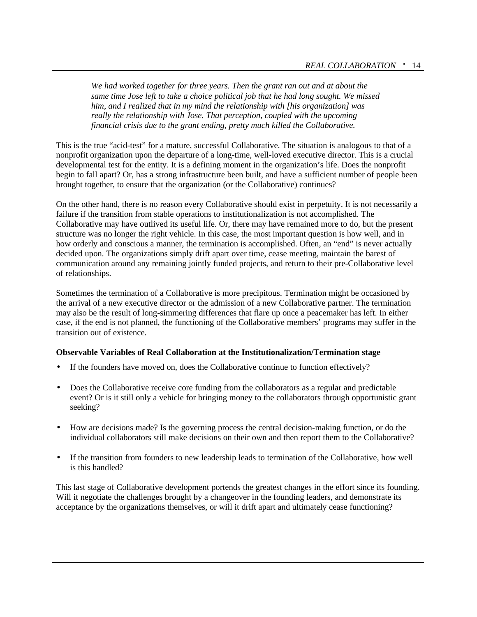*We had worked together for three years. Then the grant ran out and at about the same time Jose left to take a choice political job that he had long sought. We missed him, and I realized that in my mind the relationship with [his organization] was really the relationship with Jose. That perception, coupled with the upcoming financial crisis due to the grant ending, pretty much killed the Collaborative.* 

This is the true "acid-test" for a mature, successful Collaborative. The situation is analogous to that of a nonprofit organization upon the departure of a long-time, well-loved executive director. This is a crucial developmental test for the entity. It is a defining moment in the organization's life. Does the nonprofit begin to fall apart? Or, has a strong infrastructure been built, and have a sufficient number of people been brought together, to ensure that the organization (or the Collaborative) continues?

On the other hand, there is no reason every Collaborative should exist in perpetuity. It is not necessarily a failure if the transition from stable operations to institutionalization is not accomplished. The Collaborative may have outlived its useful life. Or, there may have remained more to do, but the present structure was no longer the right vehicle. In this case, the most important question is how well, and in how orderly and conscious a manner, the termination is accomplished. Often, an "end" is never actually decided upon. The organizations simply drift apart over time, cease meeting, maintain the barest of communication around any remaining jointly funded projects, and return to their pre-Collaborative level of relationships.

Sometimes the termination of a Collaborative is more precipitous. Termination might be occasioned by the arrival of a new executive director or the admission of a new Collaborative partner. The termination may also be the result of long-simmering differences that flare up once a peacemaker has left. In either case, if the end is not planned, the functioning of the Collaborative members' programs may suffer in the transition out of existence.

#### **Observable Variables of Real Collaboration at the Institutionalization/Termination stage**

- If the founders have moved on, does the Collaborative continue to function effectively?
- Does the Collaborative receive core funding from the collaborators as a regular and predictable event? Or is it still only a vehicle for bringing money to the collaborators through opportunistic grant seeking?
- How are decisions made? Is the governing process the central decision-making function, or do the individual collaborators still make decisions on their own and then report them to the Collaborative?
- If the transition from founders to new leadership leads to termination of the Collaborative, how well is this handled?

This last stage of Collaborative development portends the greatest changes in the effort since its founding. Will it negotiate the challenges brought by a changeover in the founding leaders, and demonstrate its acceptance by the organizations themselves, or will it drift apart and ultimately cease functioning?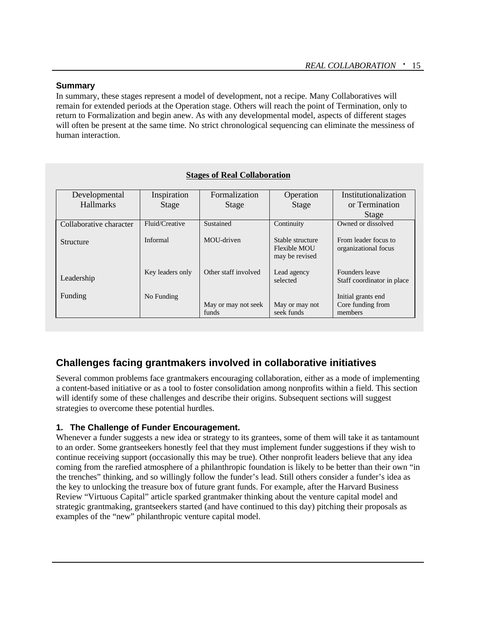#### **Summary**

In summary, these stages represent a model of development, not a recipe. Many Collaboratives will remain for extended periods at the Operation stage. Others will reach the point of Termination, only to return to Formalization and begin anew. As with any developmental model, aspects of different stages will often be present at the same time. No strict chronological sequencing can eliminate the messiness of human interaction.

| Developmental           | Inspiration      | Formalization        | Operation                                          | Institutionalization                         |
|-------------------------|------------------|----------------------|----------------------------------------------------|----------------------------------------------|
| <b>Hallmarks</b>        | Stage            | Stage                | Stage                                              | or Termination                               |
|                         |                  |                      |                                                    | Stage                                        |
| Collaborative character | Fluid/Creative   | Sustained            | Continuity                                         | Owned or dissolved                           |
| Structure               | Informal         | MOU-driven           | Stable structure<br>Flexible MOU<br>may be revised | From leader focus to<br>organizational focus |
| Leadership              | Key leaders only | Other staff involved | Lead agency<br>selected                            | Founders leave<br>Staff coordinator in place |
| Funding                 | No Funding       |                      |                                                    | Initial grants end                           |
|                         |                  | May or may not seek  | May or may not                                     | Core funding from                            |
|                         |                  | funds                | seek funds                                         | members                                      |

#### **Stages of Real Collaboration**

# **Challenges facing grantmakers involved in collaborative initiatives**

Several common problems face grantmakers encouraging collaboration, either as a mode of implementing a content-based initiative or as a tool to foster consolidation among nonprofits within a field. This section will identify some of these challenges and describe their origins. Subsequent sections will suggest strategies to overcome these potential hurdles.

#### **1. The Challenge of Funder Encouragement.**

Whenever a funder suggests a new idea or strategy to its grantees, some of them will take it as tantamount to an order. Some grantseekers honestly feel that they must implement funder suggestions if they wish to continue receiving support (occasionally this may be true). Other nonprofit leaders believe that any idea coming from the rarefied atmosphere of a philanthropic foundation is likely to be better than their own "in the trenches" thinking, and so willingly follow the funder's lead. Still others consider a funder's idea as the key to unlocking the treasure box of future grant funds. For example, after the Harvard Business Review "Virtuous Capital" article sparked grantmaker thinking about the venture capital model and strategic grantmaking, grantseekers started (and have continued to this day) pitching their proposals as examples of the "new" philanthropic venture capital model.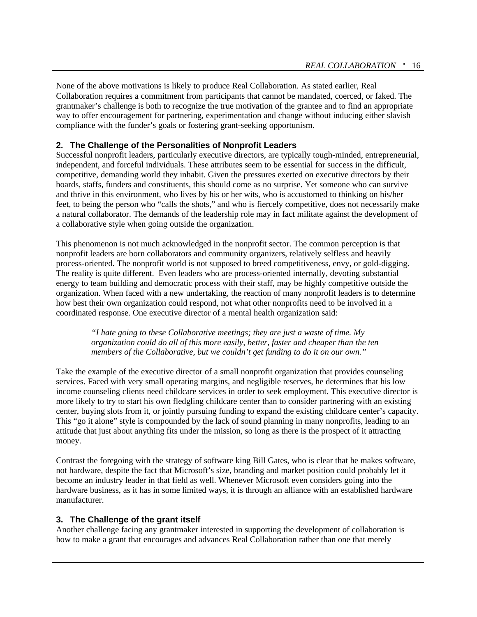None of the above motivations is likely to produce Real Collaboration. As stated earlier, Real Collaboration requires a commitment from participants that cannot be mandated, coerced, or faked. The grantmaker's challenge is both to recognize the true motivation of the grantee and to find an appropriate way to offer encouragement for partnering, experimentation and change without inducing either slavish compliance with the funder's goals or fostering grant-seeking opportunism.

#### **2. The Challenge of the Personalities of Nonprofit Leaders**

Successful nonprofit leaders, particularly executive directors, are typically tough-minded, entrepreneurial, independent, and forceful individuals. These attributes seem to be essential for success in the difficult, competitive, demanding world they inhabit. Given the pressures exerted on executive directors by their boards, staffs, funders and constituents, this should come as no surprise. Yet someone who can survive and thrive in this environment, who lives by his or her wits, who is accustomed to thinking on his/her feet, to being the person who "calls the shots," and who is fiercely competitive, does not necessarily make a natural collaborator. The demands of the leadership role may in fact militate against the development of a collaborative style when going outside the organization.

This phenomenon is not much acknowledged in the nonprofit sector. The common perception is that nonprofit leaders are born collaborators and community organizers, relatively selfless and heavily process-oriented. The nonprofit world is not supposed to breed competitiveness, envy, or gold-digging. The reality is quite different. Even leaders who are process-oriented internally, devoting substantial energy to team building and democratic process with their staff, may be highly competitive outside the organization. When faced with a new undertaking, the reaction of many nonprofit leaders is to determine how best their own organization could respond, not what other nonprofits need to be involved in a coordinated response. One executive director of a mental health organization said:

*"I hate going to these Collaborative meetings; they are just a waste of time. My organization could do all of this more easily, better, faster and cheaper than the ten members of the Collaborative, but we couldn't get funding to do it on our own."*

Take the example of the executive director of a small nonprofit organization that provides counseling services. Faced with very small operating margins, and negligible reserves, he determines that his low income counseling clients need childcare services in order to seek employment. This executive director is more likely to try to start his own fledgling childcare center than to consider partnering with an existing center, buying slots from it, or jointly pursuing funding to expand the existing childcare center's capacity. This "go it alone" style is compounded by the lack of sound planning in many nonprofits, leading to an attitude that just about anything fits under the mission, so long as there is the prospect of it attracting money.

Contrast the foregoing with the strategy of software king Bill Gates, who is clear that he makes software, not hardware, despite the fact that Microsoft's size, branding and market position could probably let it become an industry leader in that field as well. Whenever Microsoft even considers going into the hardware business, as it has in some limited ways, it is through an alliance with an established hardware manufacturer.

#### **3. The Challenge of the grant itself**

Another challenge facing any grantmaker interested in supporting the development of collaboration is how to make a grant that encourages and advances Real Collaboration rather than one that merely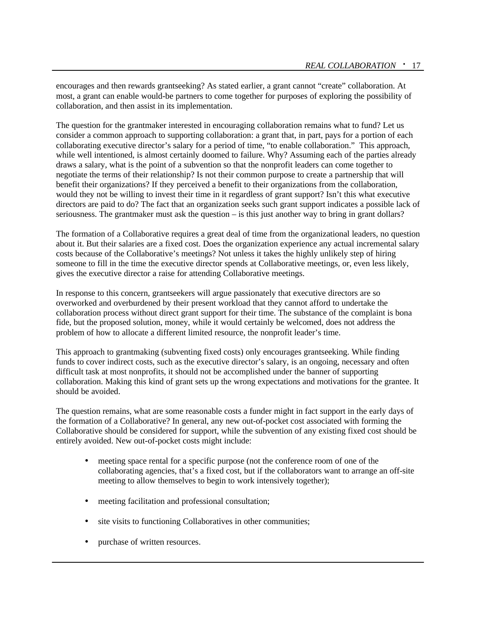encourages and then rewards grantseeking? As stated earlier, a grant cannot "create" collaboration. At most, a grant can enable would-be partners to come together for purposes of exploring the possibility of collaboration, and then assist in its implementation.

The question for the grantmaker interested in encouraging collaboration remains what to fund? Let us consider a common approach to supporting collaboration: a grant that, in part, pays for a portion of each collaborating executive director's salary for a period of time, "to enable collaboration." This approach, while well intentioned, is almost certainly doomed to failure. Why? Assuming each of the parties already draws a salary, what is the point of a subvention so that the nonprofit leaders can come together to negotiate the terms of their relationship? Is not their common purpose to create a partnership that will benefit their organizations? If they perceived a benefit to their organizations from the collaboration, would they not be willing to invest their time in it regardless of grant support? Isn't this what executive directors are paid to do? The fact that an organization seeks such grant support indicates a possible lack of seriousness. The grantmaker must ask the question – is this just another way to bring in grant dollars?

The formation of a Collaborative requires a great deal of time from the organizational leaders, no question about it. But their salaries are a fixed cost. Does the organization experience any actual incremental salary costs because of the Collaborative's meetings? Not unless it takes the highly unlikely step of hiring someone to fill in the time the executive director spends at Collaborative meetings, or, even less likely, gives the executive director a raise for attending Collaborative meetings.

In response to this concern, grantseekers will argue passionately that executive directors are so overworked and overburdened by their present workload that they cannot afford to undertake the collaboration process without direct grant support for their time. The substance of the complaint is bona fide, but the proposed solution, money, while it would certainly be welcomed, does not address the problem of how to allocate a different limited resource, the nonprofit leader's time.

This approach to grantmaking (subventing fixed costs) only encourages grantseeking. While finding funds to cover indirect costs, such as the executive director's salary, is an ongoing, necessary and often difficult task at most nonprofits, it should not be accomplished under the banner of supporting collaboration. Making this kind of grant sets up the wrong expectations and motivations for the grantee. It should be avoided.

The question remains, what are some reasonable costs a funder might in fact support in the early days of the formation of a Collaborative? In general, any new out-of-pocket cost associated with forming the Collaborative should be considered for support, while the subvention of any existing fixed cost should be entirely avoided. New out-of-pocket costs might include:

- meeting space rental for a specific purpose (not the conference room of one of the collaborating agencies, that's a fixed cost, but if the collaborators want to arrange an off-site meeting to allow themselves to begin to work intensively together);
- meeting facilitation and professional consultation;
- site visits to functioning Collaboratives in other communities;
- purchase of written resources.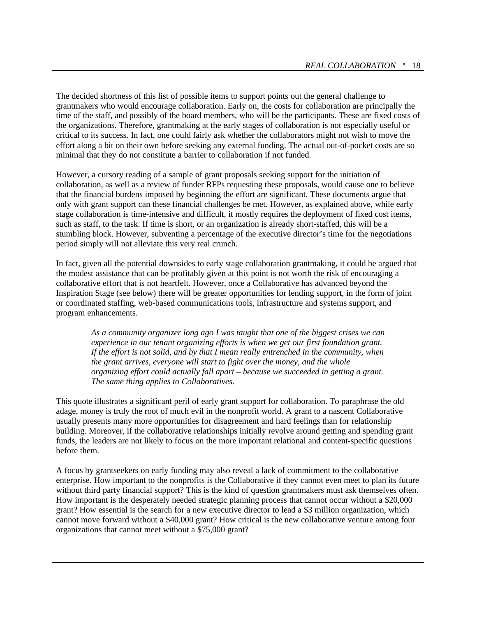The decided shortness of this list of possible items to support points out the general challenge to grantmakers who would encourage collaboration. Early on, the costs for collaboration are principally the time of the staff, and possibly of the board members, who will be the participants. These are fixed costs of the organizations. Therefore, grantmaking at the early stages of collaboration is not especially useful or critical to its success. In fact, one could fairly ask whether the collaborators might not wish to move the effort along a bit on their own before seeking any external funding. The actual out-of-pocket costs are so minimal that they do not constitute a barrier to collaboration if not funded.

However, a cursory reading of a sample of grant proposals seeking support for the initiation of collaboration, as well as a review of funder RFPs requesting these proposals, would cause one to believe that the financial burdens imposed by beginning the effort are significant. These documents argue that only with grant support can these financial challenges be met. However, as explained above, while early stage collaboration is time-intensive and difficult, it mostly requires the deployment of fixed cost items, such as staff, to the task. If time is short, or an organization is already short-staffed, this will be a stumbling block. However, subventing a percentage of the executive director's time for the negotiations period simply will not alleviate this very real crunch.

In fact, given all the potential downsides to early stage collaboration grantmaking, it could be argued that the modest assistance that can be profitably given at this point is not worth the risk of encouraging a collaborative effort that is not heartfelt. However, once a Collaborative has advanced beyond the Inspiration Stage (see below) there will be greater opportunities for lending support, in the form of joint or coordinated staffing, web-based communications tools, infrastructure and systems support, and program enhancements.

*As a community organizer long ago I was taught that one of the biggest crises we can experience in our tenant organizing efforts is when we get our first foundation grant. If the effort is not solid, and by that I mean really entrenched in the community, when the grant arrives, everyone will start to fight over the money, and the whole organizing effort could actually fall apart – because we succeeded in getting a grant. The same thing applies to Collaboratives.*

This quote illustrates a significant peril of early grant support for collaboration. To paraphrase the old adage, money is truly the root of much evil in the nonprofit world. A grant to a nascent Collaborative usually presents many more opportunities for disagreement and hard feelings than for relationship building. Moreover, if the collaborative relationships initially revolve around getting and spending grant funds, the leaders are not likely to focus on the more important relational and content-specific questions before them.

A focus by grantseekers on early funding may also reveal a lack of commitment to the collaborative enterprise. How important to the nonprofits is the Collaborative if they cannot even meet to plan its future without third party financial support? This is the kind of question grantmakers must ask themselves often. How important is the desperately needed strategic planning process that cannot occur without a \$20,000 grant? How essential is the search for a new executive director to lead a \$3 million organization, which cannot move forward without a \$40,000 grant? How critical is the new collaborative venture among four organizations that cannot meet without a \$75,000 grant?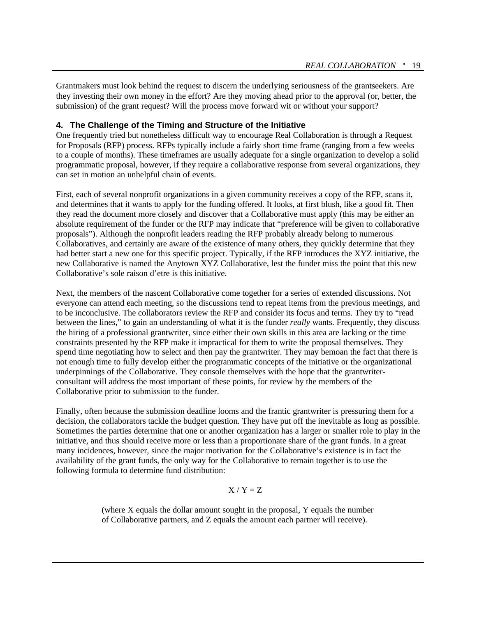Grantmakers must look behind the request to discern the underlying seriousness of the grantseekers. Are they investing their own money in the effort? Are they moving ahead prior to the approval (or, better, the submission) of the grant request? Will the process move forward wit or without your support?

#### **4. The Challenge of the Timing and Structure of the Initiative**

One frequently tried but nonetheless difficult way to encourage Real Collaboration is through a Request for Proposals (RFP) process. RFPs typically include a fairly short time frame (ranging from a few weeks to a couple of months). These timeframes are usually adequate for a single organization to develop a solid programmatic proposal, however, if they require a collaborative response from several organizations, they can set in motion an unhelpful chain of events.

First, each of several nonprofit organizations in a given community receives a copy of the RFP, scans it, and determines that it wants to apply for the funding offered. It looks, at first blush, like a good fit. Then they read the document more closely and discover that a Collaborative must apply (this may be either an absolute requirement of the funder or the RFP may indicate that "preference will be given to collaborative proposals"). Although the nonprofit leaders reading the RFP probably already belong to numerous Collaboratives, and certainly are aware of the existence of many others, they quickly determine that they had better start a new one for this specific project. Typically, if the RFP introduces the XYZ initiative, the new Collaborative is named the Anytown XYZ Collaborative, lest the funder miss the point that this new Collaborative's sole raison d'etre is this initiative.

Next, the members of the nascent Collaborative come together for a series of extended discussions. Not everyone can attend each meeting, so the discussions tend to repeat items from the previous meetings, and to be inconclusive. The collaborators review the RFP and consider its focus and terms. They try to "read between the lines," to gain an understanding of what it is the funder *really* wants. Frequently, they discuss the hiring of a professional grantwriter, since either their own skills in this area are lacking or the time constraints presented by the RFP make it impractical for them to write the proposal themselves. They spend time negotiating how to select and then pay the grantwriter. They may bemoan the fact that there is not enough time to fully develop either the programmatic concepts of the initiative or the organizational underpinnings of the Collaborative. They console themselves with the hope that the grantwriterconsultant will address the most important of these points, for review by the members of the Collaborative prior to submission to the funder.

Finally, often because the submission deadline looms and the frantic grantwriter is pressuring them for a decision, the collaborators tackle the budget question. They have put off the inevitable as long as possible. Sometimes the parties determine that one or another organization has a larger or smaller role to play in the initiative, and thus should receive more or less than a proportionate share of the grant funds. In a great many incidences, however, since the major motivation for the Collaborative's existence is in fact the availability of the grant funds, the only way for the Collaborative to remain together is to use the following formula to determine fund distribution:

#### $X/Y = Z$

(where X equals the dollar amount sought in the proposal, Y equals the number of Collaborative partners, and Z equals the amount each partner will receive).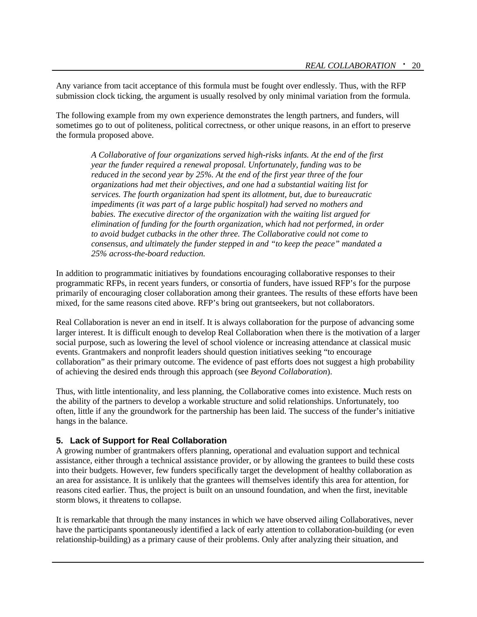Any variance from tacit acceptance of this formula must be fought over endlessly. Thus, with the RFP submission clock ticking, the argument is usually resolved by only minimal variation from the formula.

The following example from my own experience demonstrates the length partners, and funders, will sometimes go to out of politeness, political correctness, or other unique reasons, in an effort to preserve the formula proposed above.

*A Collaborative of four organizations served high-risks infants. At the end of the first year the funder required a renewal proposal. Unfortunately, funding was to be reduced in the second year by 25%. At the end of the first year three of the four organizations had met their objectives, and one had a substantial waiting list for services. The fourth organization had spent its allotment, but, due to bureaucratic impediments (it was part of a large public hospital) had served no mothers and babies. The executive director of the organization with the waiting list argued for elimination of funding for the fourth organization, which had not performed, in order to avoid budget cutbacks in the other three. The Collaborative could not come to consensus, and ultimately the funder stepped in and "to keep the peace" mandated a 25% across-the-board reduction.*

In addition to programmatic initiatives by foundations encouraging collaborative responses to their programmatic RFPs, in recent years funders, or consortia of funders, have issued RFP's for the purpose primarily of encouraging closer collaboration among their grantees. The results of these efforts have been mixed, for the same reasons cited above. RFP's bring out grantseekers, but not collaborators.

Real Collaboration is never an end in itself. It is always collaboration for the purpose of advancing some larger interest. It is difficult enough to develop Real Collaboration when there is the motivation of a larger social purpose, such as lowering the level of school violence or increasing attendance at classical music events. Grantmakers and nonprofit leaders should question initiatives seeking "to encourage collaboration" as their primary outcome. The evidence of past efforts does not suggest a high probability of achieving the desired ends through this approach (see *Beyond Collaboration*).

Thus, with little intentionality, and less planning, the Collaborative comes into existence. Much rests on the ability of the partners to develop a workable structure and solid relationships. Unfortunately, too often, little if any the groundwork for the partnership has been laid. The success of the funder's initiative hangs in the balance.

#### **5. Lack of Support for Real Collaboration**

A growing number of grantmakers offers planning, operational and evaluation support and technical assistance, either through a technical assistance provider, or by allowing the grantees to build these costs into their budgets. However, few funders specifically target the development of healthy collaboration as an area for assistance. It is unlikely that the grantees will themselves identify this area for attention, for reasons cited earlier. Thus, the project is built on an unsound foundation, and when the first, inevitable storm blows, it threatens to collapse.

It is remarkable that through the many instances in which we have observed ailing Collaboratives, never have the participants spontaneously identified a lack of early attention to collaboration-building (or even relationship-building) as a primary cause of their problems. Only after analyzing their situation, and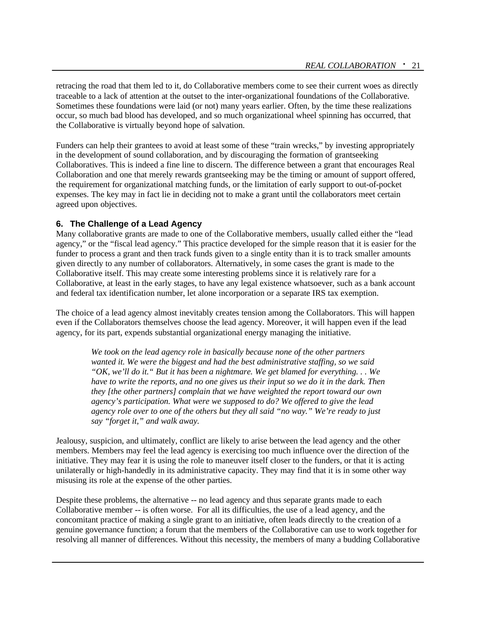retracing the road that them led to it, do Collaborative members come to see their current woes as directly traceable to a lack of attention at the outset to the inter-organizational foundations of the Collaborative. Sometimes these foundations were laid (or not) many years earlier. Often, by the time these realizations occur, so much bad blood has developed, and so much organizational wheel spinning has occurred, that the Collaborative is virtually beyond hope of salvation.

Funders can help their grantees to avoid at least some of these "train wrecks," by investing appropriately in the development of sound collaboration, and by discouraging the formation of grantseeking Collaboratives. This is indeed a fine line to discern. The difference between a grant that encourages Real Collaboration and one that merely rewards grantseeking may be the timing or amount of support offered, the requirement for organizational matching funds, or the limitation of early support to out-of-pocket expenses. The key may in fact lie in deciding not to make a grant until the collaborators meet certain agreed upon objectives.

#### **6. The Challenge of a Lead Agency**

Many collaborative grants are made to one of the Collaborative members, usually called either the "lead agency," or the "fiscal lead agency." This practice developed for the simple reason that it is easier for the funder to process a grant and then track funds given to a single entity than it is to track smaller amounts given directly to any number of collaborators. Alternatively, in some cases the grant is made to the Collaborative itself. This may create some interesting problems since it is relatively rare for a Collaborative, at least in the early stages, to have any legal existence whatsoever, such as a bank account and federal tax identification number, let alone incorporation or a separate IRS tax exemption.

The choice of a lead agency almost inevitably creates tension among the Collaborators. This will happen even if the Collaborators themselves choose the lead agency. Moreover, it will happen even if the lead agency, for its part, expends substantial organizational energy managing the initiative.

*We took on the lead agency role in basically because none of the other partners wanted it. We were the biggest and had the best administrative staffing, so we said "OK, we'll do it." But it has been a nightmare. We get blamed for everything. . . We have to write the reports, and no one gives us their input so we do it in the dark. Then they [the other partners] complain that we have weighted the report toward our own agency's participation. What were we supposed to do? We offered to give the lead agency role over to one of the others but they all said "no way." We're ready to just say "forget it," and walk away.*

Jealousy, suspicion, and ultimately, conflict are likely to arise between the lead agency and the other members. Members may feel the lead agency is exercising too much influence over the direction of the initiative. They may fear it is using the role to maneuver itself closer to the funders, or that it is acting unilaterally or high-handedly in its administrative capacity. They may find that it is in some other way misusing its role at the expense of the other parties.

Despite these problems, the alternative -- no lead agency and thus separate grants made to each Collaborative member -- is often worse. For all its difficulties, the use of a lead agency, and the concomitant practice of making a single grant to an initiative, often leads directly to the creation of a genuine governance function; a forum that the members of the Collaborative can use to work together for resolving all manner of differences. Without this necessity, the members of many a budding Collaborative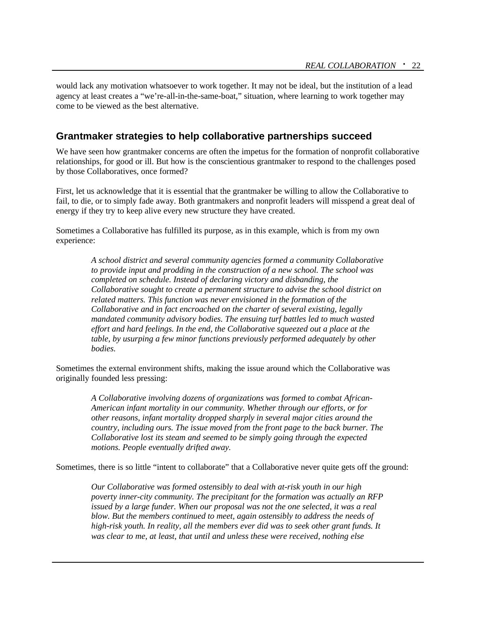would lack any motivation whatsoever to work together. It may not be ideal, but the institution of a lead agency at least creates a "we're-all-in-the-same-boat," situation, where learning to work together may come to be viewed as the best alternative.

## **Grantmaker strategies to help collaborative partnerships succeed**

We have seen how grantmaker concerns are often the impetus for the formation of nonprofit collaborative relationships, for good or ill. But how is the conscientious grantmaker to respond to the challenges posed by those Collaboratives, once formed?

First, let us acknowledge that it is essential that the grantmaker be willing to allow the Collaborative to fail, to die, or to simply fade away. Both grantmakers and nonprofit leaders will misspend a great deal of energy if they try to keep alive every new structure they have created.

Sometimes a Collaborative has fulfilled its purpose, as in this example, which is from my own experience:

> *A school district and several community agencies formed a community Collaborative to provide input and prodding in the construction of a new school. The school was completed on schedule. Instead of declaring victory and disbanding, the Collaborative sought to create a permanent structure to advise the school district on related matters. This function was never envisioned in the formation of the Collaborative and in fact encroached on the charter of several existing, legally mandated community advisory bodies. The ensuing turf battles led to much wasted effort and hard feelings. In the end, the Collaborative squeezed out a place at the table, by usurping a few minor functions previously performed adequately by other bodies.*

Sometimes the external environment shifts, making the issue around which the Collaborative was originally founded less pressing:

> *A Collaborative involving dozens of organizations was formed to combat African-American infant mortality in our community. Whether through our efforts, or for other reasons, infant mortality dropped sharply in several major cities around the country, including ours. The issue moved from the front page to the back burner. The Collaborative lost its steam and seemed to be simply going through the expected motions. People eventually drifted away.*

Sometimes, there is so little "intent to collaborate" that a Collaborative never quite gets off the ground:

*Our Collaborative was formed ostensibly to deal with at-risk youth in our high poverty inner-city community. The precipitant for the formation was actually an RFP issued by a large funder. When our proposal was not the one selected, it was a real blow. But the members continued to meet, again ostensibly to address the needs of high-risk youth. In reality, all the members ever did was to seek other grant funds. It was clear to me, at least, that until and unless these were received, nothing else*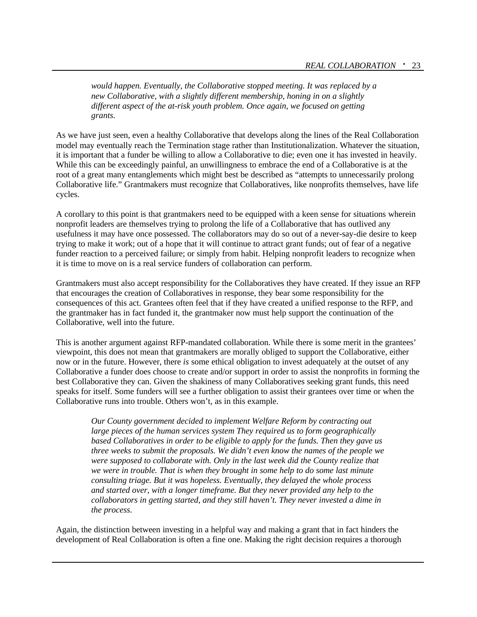*would happen. Eventually, the Collaborative stopped meeting. It was replaced by a new Collaborative, with a slightly different membership, honing in on a slightly different aspect of the at-risk youth problem. Once again, we focused on getting grants.*

As we have just seen, even a healthy Collaborative that develops along the lines of the Real Collaboration model may eventually reach the Termination stage rather than Institutionalization. Whatever the situation, it is important that a funder be willing to allow a Collaborative to die; even one it has invested in heavily. While this can be exceedingly painful, an unwillingness to embrace the end of a Collaborative is at the root of a great many entanglements which might best be described as "attempts to unnecessarily prolong Collaborative life." Grantmakers must recognize that Collaboratives, like nonprofits themselves, have life cycles.

A corollary to this point is that grantmakers need to be equipped with a keen sense for situations wherein nonprofit leaders are themselves trying to prolong the life of a Collaborative that has outlived any usefulness it may have once possessed. The collaborators may do so out of a never-say-die desire to keep trying to make it work; out of a hope that it will continue to attract grant funds; out of fear of a negative funder reaction to a perceived failure; or simply from habit. Helping nonprofit leaders to recognize when it is time to move on is a real service funders of collaboration can perform.

Grantmakers must also accept responsibility for the Collaboratives they have created. If they issue an RFP that encourages the creation of Collaboratives in response, they bear some responsibility for the consequences of this act. Grantees often feel that if they have created a unified response to the RFP, and the grantmaker has in fact funded it, the grantmaker now must help support the continuation of the Collaborative, well into the future.

This is another argument against RFP-mandated collaboration. While there is some merit in the grantees' viewpoint, this does not mean that grantmakers are morally obliged to support the Collaborative, either now or in the future. However, there *is* some ethical obligation to invest adequately at the outset of any Collaborative a funder does choose to create and/or support in order to assist the nonprofits in forming the best Collaborative they can. Given the shakiness of many Collaboratives seeking grant funds, this need speaks for itself. Some funders will see a further obligation to assist their grantees over time or when the Collaborative runs into trouble. Others won't, as in this example.

*Our County government decided to implement Welfare Reform by contracting out large pieces of the human services system They required us to form geographically based Collaboratives in order to be eligible to apply for the funds. Then they gave us three weeks to submit the proposals. We didn't even know the names of the people we were supposed to collaborate with. Only in the last week did the County realize that we were in trouble. That is when they brought in some help to do some last minute consulting triage. But it was hopeless. Eventually, they delayed the whole process and started over, with a longer timeframe. But they never provided any help to the collaborators in getting started, and they still haven't. They never invested a dime in the process.*

Again, the distinction between investing in a helpful way and making a grant that in fact hinders the development of Real Collaboration is often a fine one. Making the right decision requires a thorough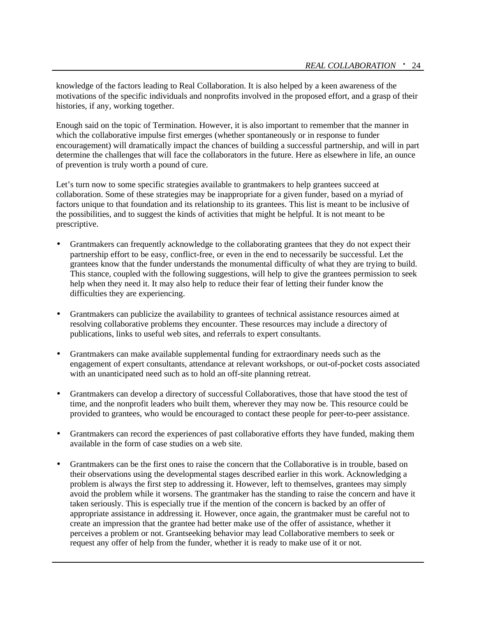knowledge of the factors leading to Real Collaboration. It is also helped by a keen awareness of the motivations of the specific individuals and nonprofits involved in the proposed effort, and a grasp of their histories, if any, working together.

Enough said on the topic of Termination. However, it is also important to remember that the manner in which the collaborative impulse first emerges (whether spontaneously or in response to funder encouragement) will dramatically impact the chances of building a successful partnership, and will in part determine the challenges that will face the collaborators in the future. Here as elsewhere in life, an ounce of prevention is truly worth a pound of cure.

Let's turn now to some specific strategies available to grantmakers to help grantees succeed at collaboration. Some of these strategies may be inappropriate for a given funder, based on a myriad of factors unique to that foundation and its relationship to its grantees. This list is meant to be inclusive of the possibilities, and to suggest the kinds of activities that might be helpful. It is not meant to be prescriptive.

- Grantmakers can frequently acknowledge to the collaborating grantees that they do not expect their partnership effort to be easy, conflict-free, or even in the end to necessarily be successful. Let the grantees know that the funder understands the monumental difficulty of what they are trying to build. This stance, coupled with the following suggestions, will help to give the grantees permission to seek help when they need it. It may also help to reduce their fear of letting their funder know the difficulties they are experiencing.
- Grantmakers can publicize the availability to grantees of technical assistance resources aimed at resolving collaborative problems they encounter. These resources may include a directory of publications, links to useful web sites, and referrals to expert consultants.
- Grantmakers can make available supplemental funding for extraordinary needs such as the engagement of expert consultants, attendance at relevant workshops, or out-of-pocket costs associated with an unanticipated need such as to hold an off-site planning retreat.
- Grantmakers can develop a directory of successful Collaboratives, those that have stood the test of time, and the nonprofit leaders who built them, wherever they may now be. This resource could be provided to grantees, who would be encouraged to contact these people for peer-to-peer assistance.
- Grantmakers can record the experiences of past collaborative efforts they have funded, making them available in the form of case studies on a web site.
- Grantmakers can be the first ones to raise the concern that the Collaborative is in trouble, based on their observations using the developmental stages described earlier in this work. Acknowledging a problem is always the first step to addressing it. However, left to themselves, grantees may simply avoid the problem while it worsens. The grantmaker has the standing to raise the concern and have it taken seriously. This is especially true if the mention of the concern is backed by an offer of appropriate assistance in addressing it. However, once again, the grantmaker must be careful not to create an impression that the grantee had better make use of the offer of assistance, whether it perceives a problem or not. Grantseeking behavior may lead Collaborative members to seek or request any offer of help from the funder, whether it is ready to make use of it or not.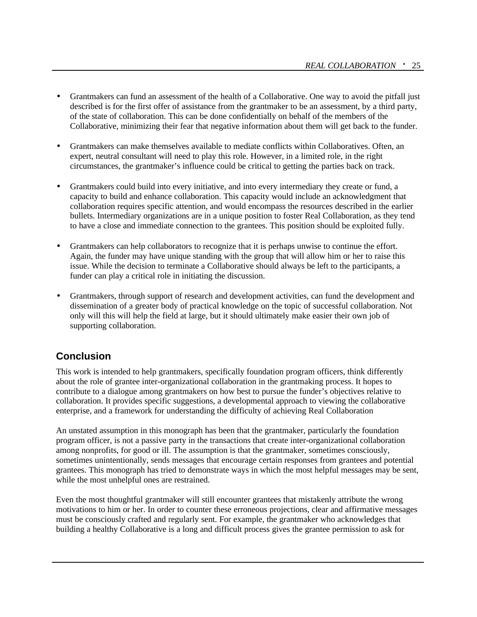- Grantmakers can fund an assessment of the health of a Collaborative. One way to avoid the pitfall just described is for the first offer of assistance from the grantmaker to be an assessment, by a third party, of the state of collaboration. This can be done confidentially on behalf of the members of the Collaborative, minimizing their fear that negative information about them will get back to the funder.
- Grantmakers can make themselves available to mediate conflicts within Collaboratives. Often, an expert, neutral consultant will need to play this role. However, in a limited role, in the right circumstances, the grantmaker's influence could be critical to getting the parties back on track.
- Grantmakers could build into every initiative, and into every intermediary they create or fund, a capacity to build and enhance collaboration. This capacity would include an acknowledgment that collaboration requires specific attention, and would encompass the resources described in the earlier bullets. Intermediary organizations are in a unique position to foster Real Collaboration, as they tend to have a close and immediate connection to the grantees. This position should be exploited fully.
- Grantmakers can help collaborators to recognize that it is perhaps unwise to continue the effort. Again, the funder may have unique standing with the group that will allow him or her to raise this issue. While the decision to terminate a Collaborative should always be left to the participants, a funder can play a critical role in initiating the discussion.
- Grantmakers, through support of research and development activities, can fund the development and dissemination of a greater body of practical knowledge on the topic of successful collaboration. Not only will this will help the field at large, but it should ultimately make easier their own job of supporting collaboration.

# **Conclusion**

This work is intended to help grantmakers, specifically foundation program officers, think differently about the role of grantee inter-organizational collaboration in the grantmaking process. It hopes to contribute to a dialogue among grantmakers on how best to pursue the funder's objectives relative to collaboration. It provides specific suggestions, a developmental approach to viewing the collaborative enterprise, and a framework for understanding the difficulty of achieving Real Collaboration

An unstated assumption in this monograph has been that the grantmaker, particularly the foundation program officer, is not a passive party in the transactions that create inter-organizational collaboration among nonprofits, for good or ill. The assumption is that the grantmaker, sometimes consciously, sometimes unintentionally, sends messages that encourage certain responses from grantees and potential grantees. This monograph has tried to demonstrate ways in which the most helpful messages may be sent, while the most unhelpful ones are restrained.

Even the most thoughtful grantmaker will still encounter grantees that mistakenly attribute the wrong motivations to him or her. In order to counter these erroneous projections, clear and affirmative messages must be consciously crafted and regularly sent. For example, the grantmaker who acknowledges that building a healthy Collaborative is a long and difficult process gives the grantee permission to ask for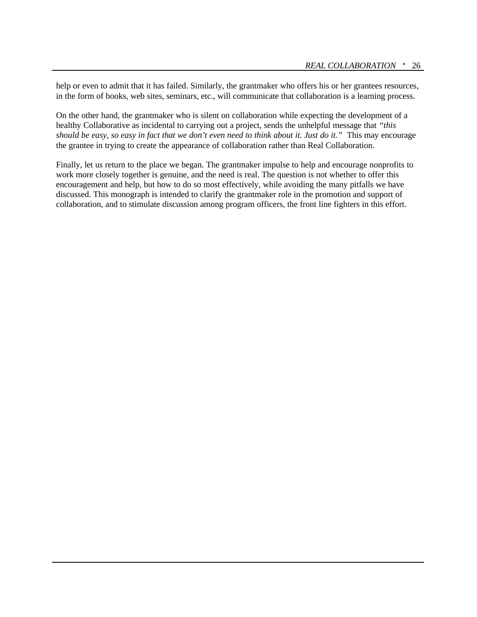help or even to admit that it has failed. Similarly, the grantmaker who offers his or her grantees resources, in the form of books, web sites, seminars, etc., will communicate that collaboration is a learning process.

On the other hand, the grantmaker who is silent on collaboration while expecting the development of a healthy Collaborative as incidental to carrying out a project, sends the unhelpful message that *"this should be easy, so easy in fact that we don't even need to think about it. Just do it."* This may encourage the grantee in trying to create the appearance of collaboration rather than Real Collaboration.

Finally, let us return to the place we began. The grantmaker impulse to help and encourage nonprofits to work more closely together is genuine, and the need is real. The question is not whether to offer this encouragement and help, but how to do so most effectively, while avoiding the many pitfalls we have discussed. This monograph is intended to clarify the grantmaker role in the promotion and support of collaboration, and to stimulate discussion among program officers, the front line fighters in this effort.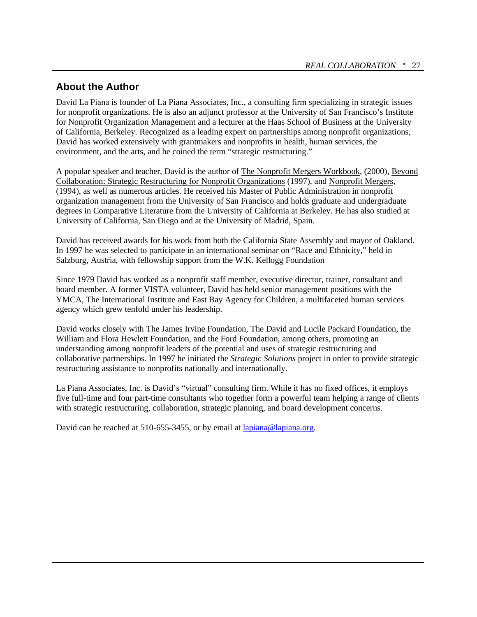# **About the Author**

David La Piana is founder of La Piana Associates, Inc., a consulting firm specializing in strategic issues for nonprofit organizations. He is also an adjunct professor at the University of San Francisco's Institute for Nonprofit Organization Management and a lecturer at the Haas School of Business at the University of California, Berkeley. Recognized as a leading expert on partnerships among nonprofit organizations, David has worked extensively with grantmakers and nonprofits in health, human services, the environment, and the arts, and he coined the term "strategic restructuring."

A popular speaker and teacher, David is the author of The Nonprofit Mergers Workbook, (2000), Beyond Collaboration: Strategic Restructuring for Nonprofit Organizations (1997), and Nonprofit Mergers, (1994), as well as numerous articles. He received his Master of Public Administration in nonprofit organization management from the University of San Francisco and holds graduate and undergraduate degrees in Comparative Literature from the University of California at Berkeley. He has also studied at University of California, San Diego and at the University of Madrid, Spain.

David has received awards for his work from both the California State Assembly and mayor of Oakland. In 1997 he was selected to participate in an international seminar on "Race and Ethnicity," held in Salzburg, Austria, with fellowship support from the W.K. Kellogg Foundation

Since 1979 David has worked as a nonprofit staff member, executive director, trainer, consultant and board member. A former VISTA volunteer, David has held senior management positions with the YMCA, The International Institute and East Bay Agency for Children, a multifaceted human services agency which grew tenfold under his leadership.

David works closely with The James Irvine Foundation, The David and Lucile Packard Foundation, the William and Flora Hewlett Foundation, and the Ford Foundation, among others, promoting an understanding among nonprofit leaders of the potential and uses of strategic restructuring and collaborative partnerships. In 1997 he initiated the *Strategic Solutions* project in order to provide strategic restructuring assistance to nonprofits nationally and internationally.

La Piana Associates, Inc. is David's "virtual" consulting firm. While it has no fixed offices, it employs five full-time and four part-time consultants who together form a powerful team helping a range of clients with strategic restructuring, collaboration, strategic planning, and board development concerns.

David can be reached at 510-655-3455, or by email at lapiana@lapiana.org.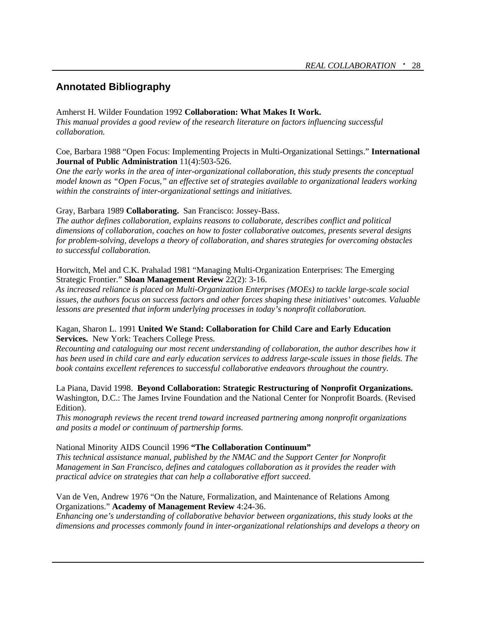# **Annotated Bibliography**

#### Amherst H. Wilder Foundation 1992 **Collaboration: What Makes It Work.**

*This manual provides a good review of the research literature on factors influencing successful collaboration.*

Coe, Barbara 1988 "Open Focus: Implementing Projects in Multi-Organizational Settings." **International Journal of Public Administration** 11(4):503-526.

*One the early works in the area of inter-organizational collaboration, this study presents the conceptual model known as "Open Focus," an effective set of strategies available to organizational leaders working within the constraints of inter-organizational settings and initiatives.*

Gray, Barbara 1989 **Collaborating.** San Francisco: Jossey-Bass.

*The author defines collaboration, explains reasons to collaborate, describes conflict and political dimensions of collaboration, coaches on how to foster collaborative outcomes, presents several designs for problem-solving, develops a theory of collaboration, and shares strategies for overcoming obstacles to successful collaboration.*

Horwitch, Mel and C.K. Prahalad 1981 "Managing Multi-Organization Enterprises: The Emerging Strategic Frontier." **Sloan Management Review** 22(2): 3-16.

*As increased reliance is placed on Multi-Organization Enterprises (MOEs) to tackle large-scale social issues, the authors focus on success factors and other forces shaping these initiatives' outcomes. Valuable lessons are presented that inform underlying processes in today's nonprofit collaboration.*

Kagan, Sharon L. 1991 **United We Stand: Collaboration for Child Care and Early Education Services.** New York: Teachers College Press.

*Recounting and cataloguing our most recent understanding of collaboration, the author describes how it has been used in child care and early education services to address large-scale issues in those fields. The book contains excellent references to successful collaborative endeavors throughout the country.*

La Piana, David 1998. **Beyond Collaboration: Strategic Restructuring of Nonprofit Organizations.**  Washington, D.C.: The James Irvine Foundation and the National Center for Nonprofit Boards. (Revised Edition).

*This monograph reviews the recent trend toward increased partnering among nonprofit organizations and posits a model or continuum of partnership forms.* 

#### National Minority AIDS Council 1996 **"The Collaboration Continuum"**

*This technical assistance manual, published by the NMAC and the Support Center for Nonprofit Management in San Francisco, defines and catalogues collaboration as it provides the reader with practical advice on strategies that can help a collaborative effort succeed.*

Van de Ven, Andrew 1976 "On the Nature, Formalization, and Maintenance of Relations Among Organizations." **Academy of Management Review** 4:24-36.

*Enhancing one's understanding of collaborative behavior between organizations, this study looks at the dimensions and processes commonly found in inter-organizational relationships and develops a theory on*